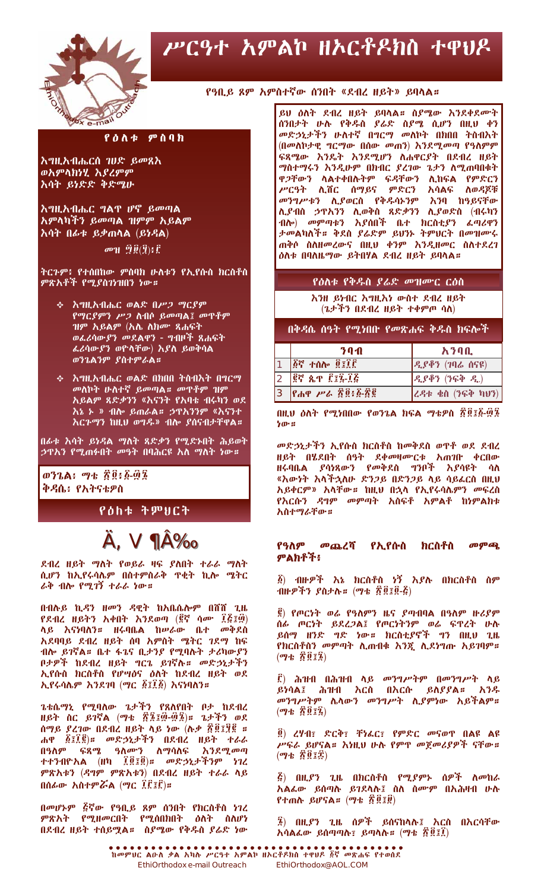

# ሥርዓተ አምልኮ ዘኦርቶዶክስ ተዋህዶ

#### የዓቢይ ጾም አምስተኛው ሰንበት «ደብረ ዘይት» ይባላል።

### $P\ddot{\theta}\Lambda\Phi$   $P\ddot{\theta}\eta$

<u> አግዚአብሔርሰ ገሀድ ይመጸእ</u> ወአምላክነሂ እያረምም እሳት ይነድድ ቅድሜሁ

**እግዚአብሔር ግል**ዋ ሆኖ ይመጣል አምላካችን ይመጣል ዝምም አይልም <u>እሳት በፊቱ ይቃጠላል (ይነዳል)</u>

 $\boldsymbol{\sigma}$  and  $\boldsymbol{\Theta}(\boldsymbol{\hat{H}})$  ;  $\boldsymbol{\hat{F}}$ 

ትርጉም፥ የተሰበከው ምስባክ ሁለቱን የኢየሱስ ክርስቶስ ምጽአቶች የሚያስገነዝበን ነው።

- ቀ **እግዚአብሔር ወልድ በ***ሥጋ ግ***ር**ያም የማርያምን ሥጋ ስብሶ ይመጣል፤ መዋቶም ዝም አይልም (አሌ ለክሙ ጻሐፍት ወፌሪሳውያን መደልዋን - ግብዞች ጸሐፍት ፌሪሳውያን ወዮላቸው) እያለ ይወቅሳል ወንጌልንም ያስተምራል።
- **ቀ እግዚአብሔር ወልድ በክበበ ትስብእት በግርማ** መለኮት ሁለተኛ ይመጣል። መዋቶም ዝም አይልም ጸድ*ቃን*ን «እናንት የአባቴ ብሩካን ወደ እኔ ኑ » ብሎ ይጠራል፡፡ ኃዋ**አንንም «እናንተ** <u>እርጉማን ከዚህ ወግዱ» ብሎ ያሰናብታቸዋል።</u>

በራቱ እሳት ይነዳል ማለት ጸድ*ቃ*ን የሚድ<u>ኑበት ሕይወት</u> ኃዋ**አን የሚ**ጠፉበት መዓት በባሕርዩ አስ ማስት ነው*፡፡* 

ቅዳሴ፥ የአትናቴዎስ

### የዕከቱ ትምህርት

## **A. V 1A%**

ደብረ ዘይት ማለት የወይራ ዛፍ ያለበት ተራራ ማለት ሲሆን ከኢየሩሳሌም በስተምስራቅ ዋቂት ኪሎ ሜትር ራቅ ብሎ የሚገኝ ተራራ ነው።

በብሉይ ኪዳን ዘመን ዳዊት ከአቤሴሎም በሸሸ ጊዜ የደብረ ዘይትን አቀበት እንደወጣ (፪ኛ ሳሙ ፲፭፤፴) ላይ እናነባለን። ዘሩባቤል ከሥራው ቤተ መቅደስ አደባባይ ደብረ ዘይት ሰባ አምስት ሜትር ገደማ ከፍ ብሎ ይገኛል። ቤተ ፋጌና ቢታንያ የሚባሉት ታሪካውያን ቦታዎች ከደብረ ዘይት ግርጌ ይገኛሉ። መድኃኒታችን ኢየሱስ ክርስቶስ የሆሣዕና ዕለት ከደብረ ዘይት ወደ ኢየሩሳሌም እንደገባ (ማር ፩፤፲፩) እናነባለን።

ጌቴሴማኒ የሚባለው ጌታችን የጸለየበት ቦታ ከደብረ ዘይት ስር ይገኛል (ማቴ ፳፮፤፴-፴፮)። ጌታችን ወደ ሰማይ ያረገው በደብረ ዘይት ላይ ነው (ሉቃ ፳፬፤፶፪ ። ሐዋ ፩፤፲፪)። መድኃኒታችን በደብረ ዘይት ተራራ በዓስም ፍጻሜ ዓስሙን ስማሳስፍ እንደሚመጣ ተተንብዮአል (ዘካ ፲፬፤፬)። መድኃኒታችንም ነገረ ምጽአቱን (ዳግም ምጽአቱን) በደብረ ዘይት ተራራ ላይ በሰራው አስተምሯል (ማር ፲፫፲፫)።

በመሆኑም ፭ኛው የዓቢይ ጾም ሰንበት የክርስቶስ ነገረ ምጽአት የሚዘመርበት የሚሰበክበት ዕለት ስለሆነ<br>በደብረ-ዘይት-ተሰይሟል። ስያሜው-የቅዳስ-ያሬድ-ነው

ይህ ዕለት ደብረ ዘይት ይባላል። ስያሜው እንደቀደሙት<br>ሰንበታት ሁሉ የቅዱስ ያሬድ ስያሜ ሲሆን በዚህ ቀን መድኃኒታችን ሁለተኛ በግርማ መለኮት በክበበ ትስብእት (በመለኮታዊ ግርማው በሰው መጠን) እንደሚመጣ የዓለምም ፍጻሜው እንዴት እንደሚሆን ለሐዋርያት በደብረ ዘይት ማስተማሩን እንዲሁም በክብር ያረገው ጌታን ስሚጠባበቁት ብሎ) መምጣቱን እያሰበች ቤተ ክርስቲያን ፌጣሪዋን ታመልካለች። ቅደስ ያሬድም ይህንኑ ትምህርት በመዝሙሩ ጠቅሶ ስስዘመረውና በዚህ ቀንም እንዲዘመር ስስተደረገ ዕለቱ በባለዜማው ይትበሃል ደብረ ዘይት ይባላል።

#### የዕለቱ የቅዱስ ያሬድ መዝሙር ርዕስ

እንዘ ይነብር እግዚእነ ውስተ ደብረ ዘይት  $(2.5 + 7)$  በደብረ ዘይት ተቀምጦ ሳለ)

በቅዳሴ ሰዓት የሚነበበ የመጽሐፍ ቅዱስ ክ<u>ፍሎች</u>

|   | 70A                                                                       | አንባቢ                                         |
|---|---------------------------------------------------------------------------|----------------------------------------------|
|   | ፩ኛ ተሰሎ ፬፤፲፫                                                               | $R$ ያቶን (7ባሬ ሰናዩ)                            |
|   | 2  ፪ኛ ጴጥ ፫፺፯-፲፭                                                           | $\beta_{\alpha}$ ያቆን (ንፍቅ $\beta_{\alpha}$ ) |
| 3 | $\left  \text{P}_{\text{d}}\text{P} \text{ }\mu\text{A} \right $ ፳፬፥ ፩-፳፪ | ረዳቱ ቄስ (ንፍቅ ካሆን)                             |

በዚህ ዕለት የሚነበበው የወንጌል ክፍል ማቴዎስ ፳፬፤፩-፴፮ ነው።

መድኃኒታችን ኢየሱስ ክርስቶስ ከመቅደስ ወዋቶ ወደ ደብረ ዘይት በሄደበት ሰዓት ደቀመዛሙርቱ አጠገቡ ቀርበው<br>ዘሩባቤል ያሳነጻውን የመቅደስ ግንቦች እያሳዩት ሳ<mark>ስ</mark> «እውነት እላችኋለሁ ድንጋይ በድንጋይ ላይ ሳይፌርስ በዚህ አይቀርም» አላቸው። ከዚህ በኋላ የኢየሩሳሌምን መፍረስ የእርሱን ዳግም መምጣት አስፍቶ አምልቶ ከነምልክቱ አስተማራቸው።

#### *መ*ጨረሻ የኢየሱስ መም<del>ጪ</del> የዓስም ክርስቶስ ምልክቶች፥

፩) ብዙዎች እኔ ክርስቶስ ነኝ እያሉ በክርስቶስ ስም  $\mathbf{A}$ ዙዎችን ያስታሉ። (ማቴ ፳፬፤፬-፭)

፪) የጦርነት ወሬ የዓለምን ዜና ያጣብባል በዓለም ዙሪያም  $(\eta + \vec{R} \vec{Q} \vec{I})$ 

፫) ሕዝብ በሕዝብ ላይ *መንግሥትም በመንግሥት* ላይ ይነሳል፤ ሕዝብ እርስ በእርሱ ይለያያል። አንዱ መንግሥትም ሌላውን መንግሥት ሲያምነው አይችልም።  $(\mathbf{q} + \hat{R} \hat{R} \hat{I})$ 

፬) ረሃብ፣ ድርቅ፣ ቸነፌር፣ የምድር መናወዋ በልዩ ልዩ ሥፍራ ይሆናል። እነዚህ ሁሉ የምዋ መጀመሪያዎች ናቸው።  $(\psi$   $\psi$   $\hat{R}$   $\hat{R}$   $\hat{R}$   $\hat{R}$ )

 $\tilde{G}$ ) በዚያን ጊዜ በክርስቶስ የሚያምኑ ሰዎች ለመከራ .<br>አልፌው ይሰጣሉ ይገደላሉ፤ ስለ ስሙም በአሕዛብ ሁሉ<br>የተጠሉ ይሆናል። (ማቴ ፳፬፤፱)

፮) በዚያን ጊዜ ሰዎች ይሰናከላሉ፤ እርስ በእርሳቸው አሳልፌው ይሰጣጣሉ፣ ይጣላሉ። (ማቴ ፳፬፤፲)

EthiOrthodox e-mail Outreach EthiOrthodox@AOL.COM